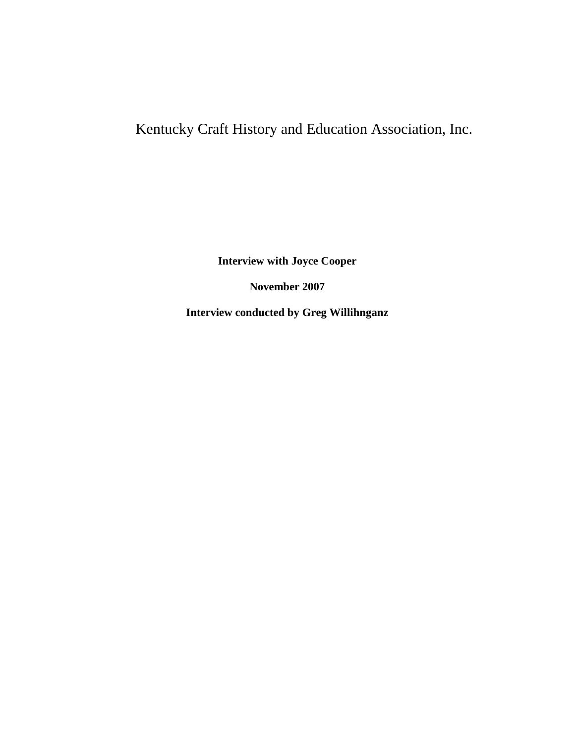## Kentucky Craft History and Education Association, Inc.

**Interview with Joyce Cooper**

**November 2007**

**Interview conducted by Greg Willihnganz**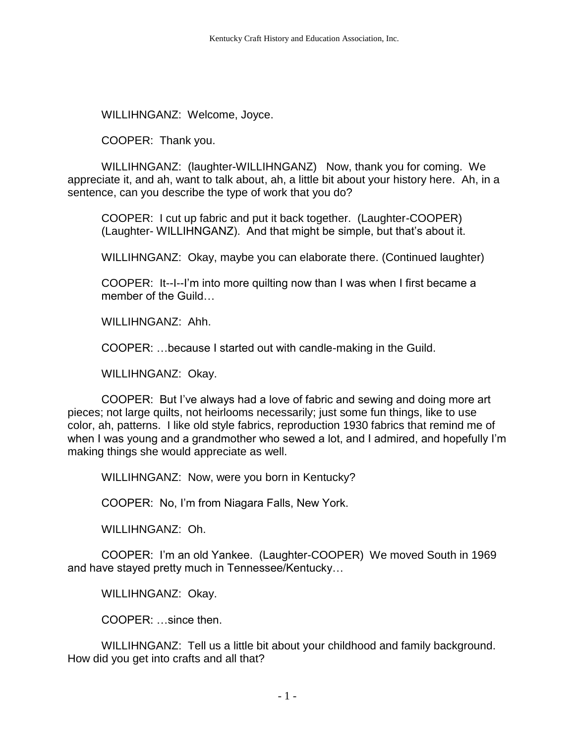WILLIHNGANZ: Welcome, Joyce.

COOPER: Thank you.

WILLIHNGANZ: (laughter-WILLIHNGANZ) Now, thank you for coming. We appreciate it, and ah, want to talk about, ah, a little bit about your history here. Ah, in a sentence, can you describe the type of work that you do?

COOPER: I cut up fabric and put it back together. (Laughter-COOPER) (Laughter- WILLIHNGANZ). And that might be simple, but that's about it.

WILLIHNGANZ: Okay, maybe you can elaborate there. (Continued laughter)

COOPER: It--I--I'm into more quilting now than I was when I first became a member of the Guild

WILLIHNGANZ: Ahh.

COOPER: …because I started out with candle-making in the Guild.

WILLIHNGANZ: Okay.

COOPER: But I've always had a love of fabric and sewing and doing more art pieces; not large quilts, not heirlooms necessarily; just some fun things, like to use color, ah, patterns. I like old style fabrics, reproduction 1930 fabrics that remind me of when I was young and a grandmother who sewed a lot, and I admired, and hopefully I'm making things she would appreciate as well.

WILLIHNGANZ: Now, were you born in Kentucky?

COOPER: No, I'm from Niagara Falls, New York.

WILLIHNGANZ: Oh.

COOPER: I'm an old Yankee. (Laughter-COOPER) We moved South in 1969 and have stayed pretty much in Tennessee/Kentucky…

WILLIHNGANZ: Okay.

COOPER: …since then.

WILLIHNGANZ: Tell us a little bit about your childhood and family background. How did you get into crafts and all that?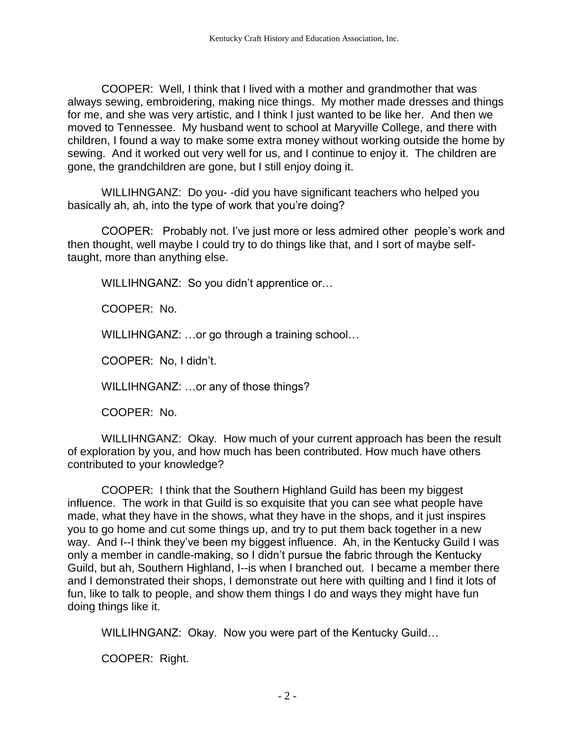COOPER: Well, I think that I lived with a mother and grandmother that was always sewing, embroidering, making nice things. My mother made dresses and things for me, and she was very artistic, and I think I just wanted to be like her. And then we moved to Tennessee. My husband went to school at Maryville College, and there with children, I found a way to make some extra money without working outside the home by sewing. And it worked out very well for us, and I continue to enjoy it. The children are gone, the grandchildren are gone, but I still enjoy doing it.

WILLIHNGANZ: Do you- -did you have significant teachers who helped you basically ah, ah, into the type of work that you're doing?

COOPER: Probably not. I've just more or less admired other people's work and then thought, well maybe I could try to do things like that, and I sort of maybe selftaught, more than anything else.

WILLIHNGANZ: So you didn't apprentice or…

COOPER: No.

WILLIHNGANZ: …or go through a training school…

COOPER: No, I didn't.

WILLIHNGANZ: …or any of those things?

COOPER: No.

WILLIHNGANZ: Okay. How much of your current approach has been the result of exploration by you, and how much has been contributed. How much have others contributed to your knowledge?

COOPER: I think that the Southern Highland Guild has been my biggest influence. The work in that Guild is so exquisite that you can see what people have made, what they have in the shows, what they have in the shops, and it just inspires you to go home and cut some things up, and try to put them back together in a new way. And I--I think they've been my biggest influence. Ah, in the Kentucky Guild I was only a member in candle-making, so I didn't pursue the fabric through the Kentucky Guild, but ah, Southern Highland, I--is when I branched out. I became a member there and I demonstrated their shops, I demonstrate out here with quilting and I find it lots of fun, like to talk to people, and show them things I do and ways they might have fun doing things like it.

WILLIHNGANZ: Okay. Now you were part of the Kentucky Guild…

COOPER: Right.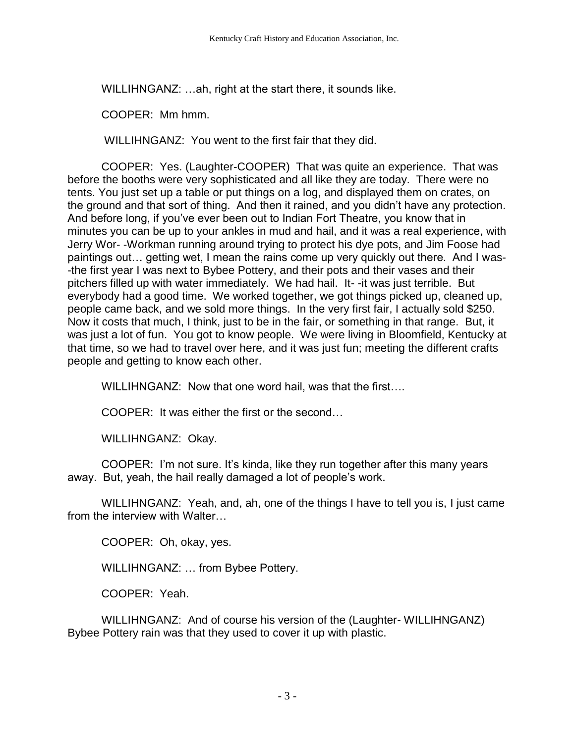WILLIHNGANZ: …ah, right at the start there, it sounds like.

COOPER: Mm hmm.

WILLIHNGANZ: You went to the first fair that they did.

COOPER: Yes. (Laughter-COOPER) That was quite an experience. That was before the booths were very sophisticated and all like they are today. There were no tents. You just set up a table or put things on a log, and displayed them on crates, on the ground and that sort of thing. And then it rained, and you didn't have any protection. And before long, if you've ever been out to Indian Fort Theatre, you know that in minutes you can be up to your ankles in mud and hail, and it was a real experience, with Jerry Wor- -Workman running around trying to protect his dye pots, and Jim Foose had paintings out… getting wet, I mean the rains come up very quickly out there. And I was- -the first year I was next to Bybee Pottery, and their pots and their vases and their pitchers filled up with water immediately. We had hail. It- -it was just terrible. But everybody had a good time. We worked together, we got things picked up, cleaned up, people came back, and we sold more things. In the very first fair, I actually sold \$250. Now it costs that much, I think, just to be in the fair, or something in that range. But, it was just a lot of fun. You got to know people. We were living in Bloomfield, Kentucky at that time, so we had to travel over here, and it was just fun; meeting the different crafts people and getting to know each other.

WILLIHNGANZ: Now that one word hail, was that the first….

COOPER: It was either the first or the second…

WILLIHNGANZ: Okay.

COOPER: I'm not sure. It's kinda, like they run together after this many years away. But, yeah, the hail really damaged a lot of people's work.

WILLIHNGANZ: Yeah, and, ah, one of the things I have to tell you is, I just came from the interview with Walter…

COOPER: Oh, okay, yes.

WILLIHNGANZ: … from Bybee Pottery.

COOPER: Yeah.

WILLIHNGANZ: And of course his version of the (Laughter- WILLIHNGANZ) Bybee Pottery rain was that they used to cover it up with plastic.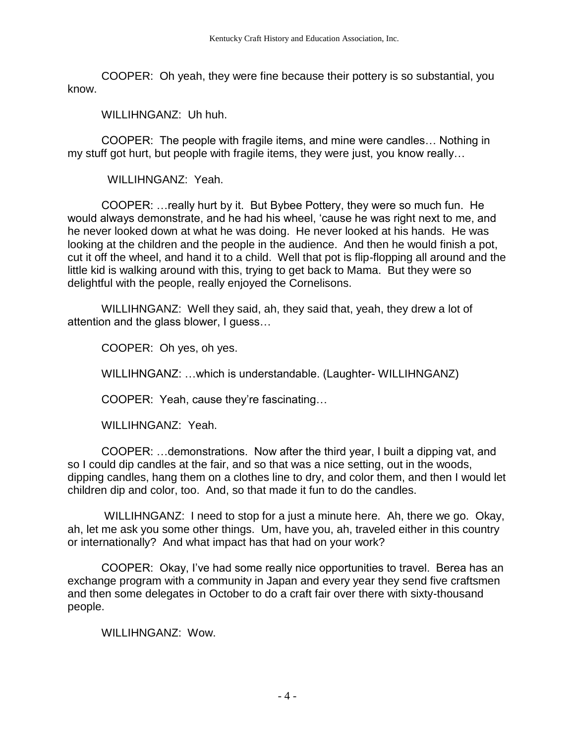COOPER: Oh yeah, they were fine because their pottery is so substantial, you know.

WILLIHNGANZ: Uh huh.

COOPER: The people with fragile items, and mine were candles… Nothing in my stuff got hurt, but people with fragile items, they were just, you know really…

WILLIHNGANZ: Yeah.

COOPER: …really hurt by it. But Bybee Pottery, they were so much fun. He would always demonstrate, and he had his wheel, 'cause he was right next to me, and he never looked down at what he was doing. He never looked at his hands. He was looking at the children and the people in the audience. And then he would finish a pot, cut it off the wheel, and hand it to a child. Well that pot is flip-flopping all around and the little kid is walking around with this, trying to get back to Mama. But they were so delightful with the people, really enjoyed the Cornelisons.

WILLIHNGANZ: Well they said, ah, they said that, yeah, they drew a lot of attention and the glass blower, I guess…

COOPER: Oh yes, oh yes.

WILLIHNGANZ: …which is understandable. (Laughter- WILLIHNGANZ)

COOPER: Yeah, cause they're fascinating…

WILLIHNGANZ: Yeah.

COOPER: …demonstrations. Now after the third year, I built a dipping vat, and so I could dip candles at the fair, and so that was a nice setting, out in the woods, dipping candles, hang them on a clothes line to dry, and color them, and then I would let children dip and color, too. And, so that made it fun to do the candles.

WILLIHNGANZ: I need to stop for a just a minute here. Ah, there we go. Okay, ah, let me ask you some other things. Um, have you, ah, traveled either in this country or internationally? And what impact has that had on your work?

COOPER: Okay, I've had some really nice opportunities to travel. Berea has an exchange program with a community in Japan and every year they send five craftsmen and then some delegates in October to do a craft fair over there with sixty-thousand people.

WILLIHNGANZ: Wow.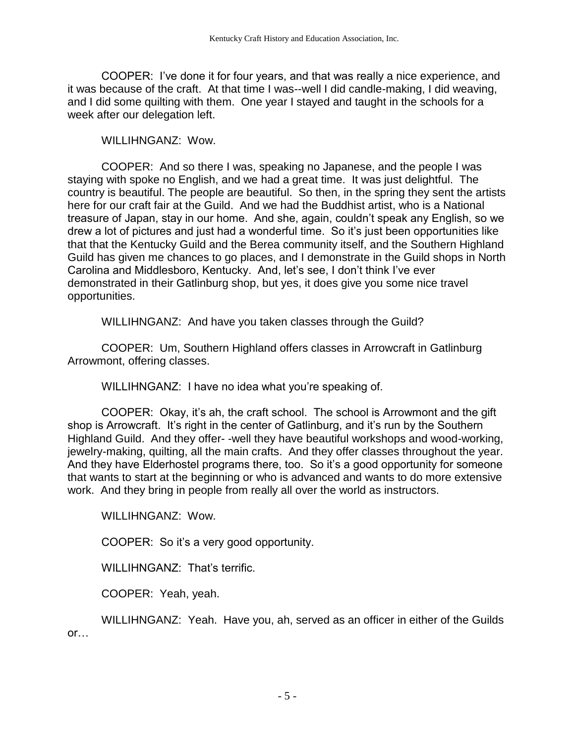COOPER: I've done it for four years, and that was really a nice experience, and it was because of the craft. At that time I was--well I did candle-making, I did weaving, and I did some quilting with them. One year I stayed and taught in the schools for a week after our delegation left.

WILLIHNGANZ: Wow.

COOPER: And so there I was, speaking no Japanese, and the people I was staying with spoke no English, and we had a great time. It was just delightful. The country is beautiful. The people are beautiful. So then, in the spring they sent the artists here for our craft fair at the Guild. And we had the Buddhist artist, who is a National treasure of Japan, stay in our home. And she, again, couldn't speak any English, so we drew a lot of pictures and just had a wonderful time. So it's just been opportunities like that that the Kentucky Guild and the Berea community itself, and the Southern Highland Guild has given me chances to go places, and I demonstrate in the Guild shops in North Carolina and Middlesboro, Kentucky. And, let's see, I don't think I've ever demonstrated in their Gatlinburg shop, but yes, it does give you some nice travel opportunities.

WILLIHNGANZ: And have you taken classes through the Guild?

COOPER: Um, Southern Highland offers classes in Arrowcraft in Gatlinburg Arrowmont, offering classes.

WILLIHNGANZ: I have no idea what you're speaking of.

COOPER: Okay, it's ah, the craft school. The school is Arrowmont and the gift shop is Arrowcraft. It's right in the center of Gatlinburg, and it's run by the Southern Highland Guild. And they offer- -well they have beautiful workshops and wood-working, jewelry-making, quilting, all the main crafts. And they offer classes throughout the year. And they have Elderhostel programs there, too. So it's a good opportunity for someone that wants to start at the beginning or who is advanced and wants to do more extensive work. And they bring in people from really all over the world as instructors.

WILLIHNGANZ: Wow.

COOPER: So it's a very good opportunity.

WILLIHNGANZ: That's terrific.

COOPER: Yeah, yeah.

WILLIHNGANZ: Yeah. Have you, ah, served as an officer in either of the Guilds or…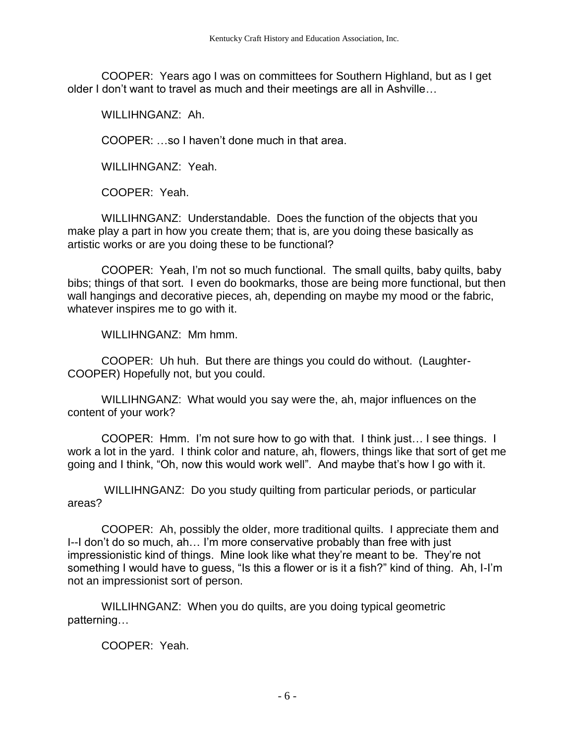COOPER: Years ago I was on committees for Southern Highland, but as I get older I don't want to travel as much and their meetings are all in Ashville…

WILLIHNGANZ: Ah.

COOPER: …so I haven't done much in that area.

WILLIHNGANZ: Yeah.

COOPER: Yeah.

WILLIHNGANZ: Understandable. Does the function of the objects that you make play a part in how you create them; that is, are you doing these basically as artistic works or are you doing these to be functional?

COOPER: Yeah, I'm not so much functional. The small quilts, baby quilts, baby bibs; things of that sort. I even do bookmarks, those are being more functional, but then wall hangings and decorative pieces, ah, depending on maybe my mood or the fabric, whatever inspires me to go with it.

WILLIHNGANZ: Mm hmm.

COOPER: Uh huh. But there are things you could do without. (Laughter-COOPER) Hopefully not, but you could.

WILLIHNGANZ: What would you say were the, ah, major influences on the content of your work?

COOPER: Hmm. I'm not sure how to go with that. I think just… I see things. I work a lot in the yard. I think color and nature, ah, flowers, things like that sort of get me going and I think, "Oh, now this would work well". And maybe that's how I go with it.

WILLIHNGANZ: Do you study quilting from particular periods, or particular areas?

COOPER: Ah, possibly the older, more traditional quilts. I appreciate them and I--I don't do so much, ah… I'm more conservative probably than free with just impressionistic kind of things. Mine look like what they're meant to be. They're not something I would have to guess, "Is this a flower or is it a fish?" kind of thing. Ah, I-I'm not an impressionist sort of person.

WILLIHNGANZ: When you do quilts, are you doing typical geometric patterning…

COOPER: Yeah.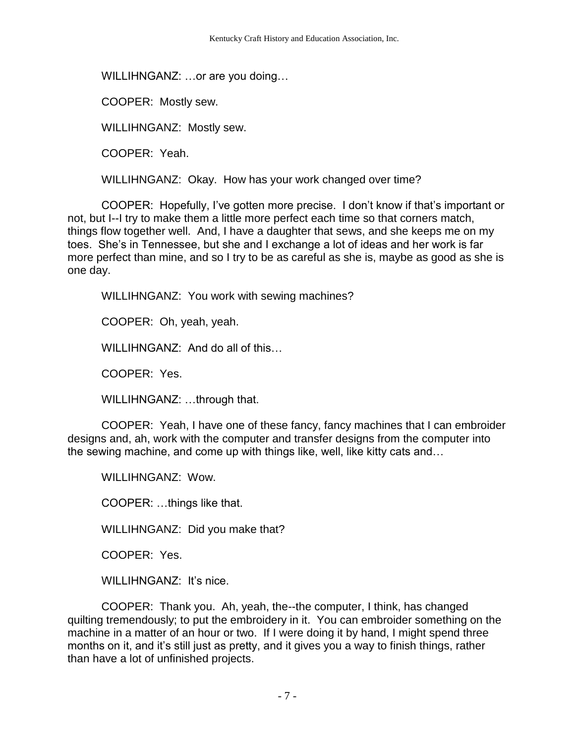WILLIHNGANZ: …or are you doing…

COOPER: Mostly sew.

WILLIHNGANZ: Mostly sew.

COOPER: Yeah.

WILLIHNGANZ: Okay. How has your work changed over time?

COOPER: Hopefully, I've gotten more precise. I don't know if that's important or not, but I--I try to make them a little more perfect each time so that corners match, things flow together well. And, I have a daughter that sews, and she keeps me on my toes. She's in Tennessee, but she and I exchange a lot of ideas and her work is far more perfect than mine, and so I try to be as careful as she is, maybe as good as she is one day.

WILLIHNGANZ: You work with sewing machines?

COOPER: Oh, yeah, yeah.

WILLIHNGANZ: And do all of this…

COOPER: Yes.

WILLIHNGANZ: …through that.

COOPER: Yeah, I have one of these fancy, fancy machines that I can embroider designs and, ah, work with the computer and transfer designs from the computer into the sewing machine, and come up with things like, well, like kitty cats and…

WILLIHNGANZ: Wow.

COOPER: …things like that.

WILLIHNGANZ: Did you make that?

COOPER: Yes.

WILLIHNGANZ: It's nice.

COOPER: Thank you. Ah, yeah, the--the computer, I think, has changed quilting tremendously; to put the embroidery in it. You can embroider something on the machine in a matter of an hour or two. If I were doing it by hand, I might spend three months on it, and it's still just as pretty, and it gives you a way to finish things, rather than have a lot of unfinished projects.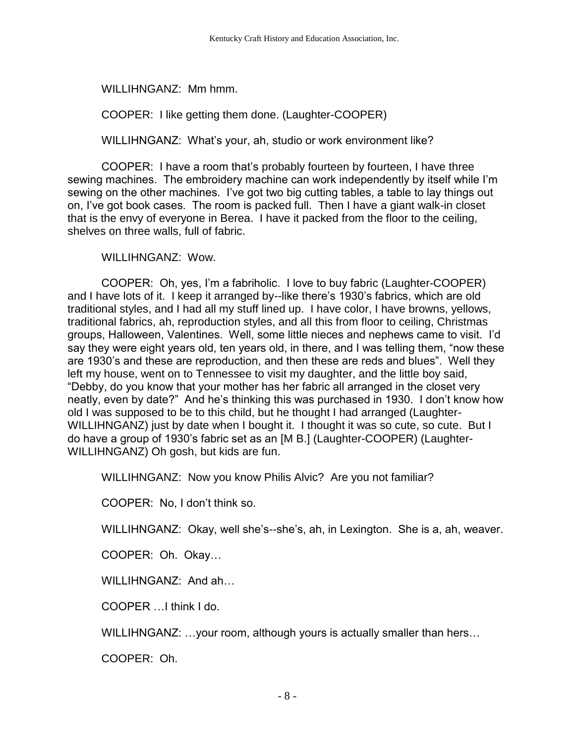WILLIHNGANZ: Mm hmm.

COOPER: I like getting them done. (Laughter-COOPER)

WILLIHNGANZ: What's your, ah, studio or work environment like?

COOPER: I have a room that's probably fourteen by fourteen, I have three sewing machines. The embroidery machine can work independently by itself while I'm sewing on the other machines. I've got two big cutting tables, a table to lay things out on, I've got book cases. The room is packed full. Then I have a giant walk-in closet that is the envy of everyone in Berea. I have it packed from the floor to the ceiling, shelves on three walls, full of fabric.

WILLIHNGANZ: Wow.

COOPER: Oh, yes, I'm a fabriholic. I love to buy fabric (Laughter-COOPER) and I have lots of it. I keep it arranged by--like there's 1930's fabrics, which are old traditional styles, and I had all my stuff lined up. I have color, I have browns, yellows, traditional fabrics, ah, reproduction styles, and all this from floor to ceiling, Christmas groups, Halloween, Valentines. Well, some little nieces and nephews came to visit. I'd say they were eight years old, ten years old, in there, and I was telling them, "now these are 1930's and these are reproduction, and then these are reds and blues". Well they left my house, went on to Tennessee to visit my daughter, and the little boy said, "Debby, do you know that your mother has her fabric all arranged in the closet very neatly, even by date?" And he's thinking this was purchased in 1930. I don't know how old I was supposed to be to this child, but he thought I had arranged (Laughter-WILLIHNGANZ) just by date when I bought it. I thought it was so cute, so cute. But I do have a group of 1930's fabric set as an [M B.] (Laughter-COOPER) (Laughter-WILLIHNGANZ) Oh gosh, but kids are fun.

WILLIHNGANZ: Now you know Philis Alvic? Are you not familiar?

COOPER: No, I don't think so.

WILLIHNGANZ: Okay, well she's--she's, ah, in Lexington. She is a, ah, weaver.

COOPER: Oh. Okay…

WILLIHNGANZ: And ah…

COOPER …I think I do.

WILLIHNGANZ: ... your room, although yours is actually smaller than hers...

COOPER: Oh.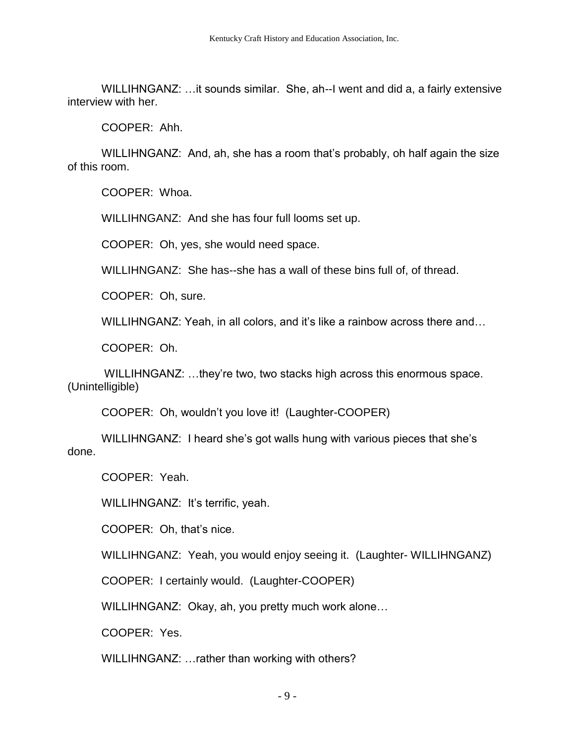WILLIHNGANZ: …it sounds similar. She, ah--I went and did a, a fairly extensive interview with her.

COOPER: Ahh.

WILLIHNGANZ: And, ah, she has a room that's probably, oh half again the size of this room.

COOPER: Whoa.

WILLIHNGANZ: And she has four full looms set up.

COOPER: Oh, yes, she would need space.

WILLIHNGANZ: She has--she has a wall of these bins full of, of thread.

COOPER: Oh, sure.

WILLIHNGANZ: Yeah, in all colors, and it's like a rainbow across there and…

COOPER: Oh.

WILLIHNGANZ: …they're two, two stacks high across this enormous space. (Unintelligible)

COOPER: Oh, wouldn't you love it! (Laughter-COOPER)

WILLIHNGANZ: I heard she's got walls hung with various pieces that she's done.

COOPER: Yeah.

WILLIHNGANZ: It's terrific, yeah.

COOPER: Oh, that's nice.

WILLIHNGANZ: Yeah, you would enjoy seeing it. (Laughter- WILLIHNGANZ)

COOPER: I certainly would. (Laughter-COOPER)

WILLIHNGANZ: Okay, ah, you pretty much work alone…

COOPER: Yes.

WILLIHNGANZ: …rather than working with others?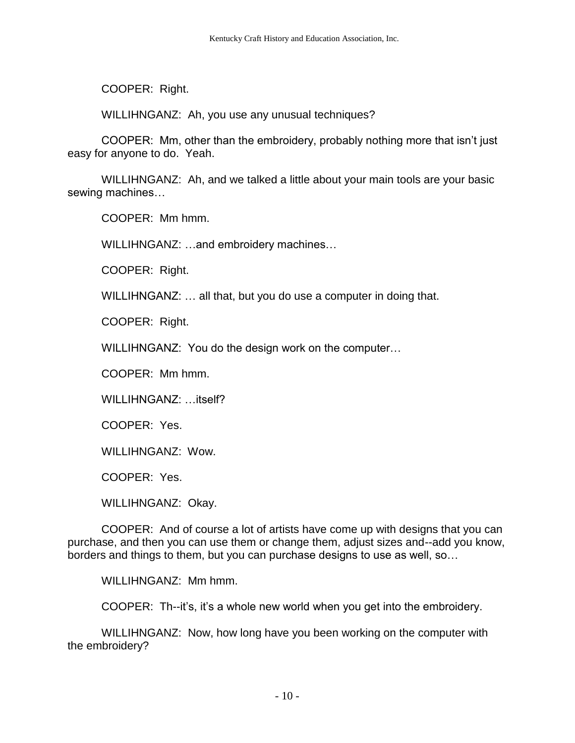COOPER: Right.

WILLIHNGANZ: Ah, you use any unusual techniques?

COOPER: Mm, other than the embroidery, probably nothing more that isn't just easy for anyone to do. Yeah.

WILLIHNGANZ: Ah, and we talked a little about your main tools are your basic sewing machines…

COOPER: Mm hmm.

WILLIHNGANZ: …and embroidery machines…

COOPER: Right.

WILLIHNGANZ: … all that, but you do use a computer in doing that.

COOPER: Right.

WILLIHNGANZ: You do the design work on the computer…

COOPER: Mm hmm.

WILLIHNGANZ: …itself?

COOPER: Yes.

WILLIHNGANZ: Wow.

COOPER: Yes.

WILLIHNGANZ: Okay.

COOPER: And of course a lot of artists have come up with designs that you can purchase, and then you can use them or change them, adjust sizes and--add you know, borders and things to them, but you can purchase designs to use as well, so…

WILLIHNGANZ: Mm hmm.

COOPER: Th--it's, it's a whole new world when you get into the embroidery.

WILLIHNGANZ: Now, how long have you been working on the computer with the embroidery?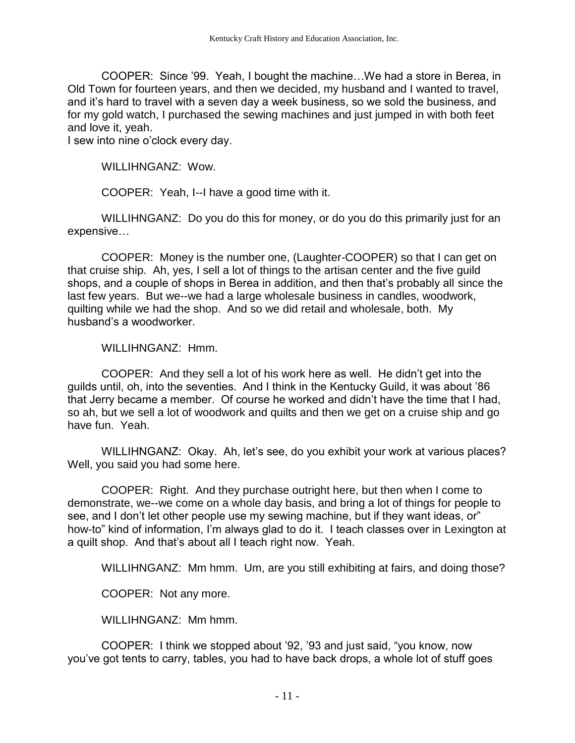COOPER: Since '99. Yeah, I bought the machine…We had a store in Berea, in Old Town for fourteen years, and then we decided, my husband and I wanted to travel, and it's hard to travel with a seven day a week business, so we sold the business, and for my gold watch, I purchased the sewing machines and just jumped in with both feet and love it, yeah.

I sew into nine o'clock every day.

WILLIHNGANZ: Wow.

COOPER: Yeah, I--I have a good time with it.

WILLIHNGANZ: Do you do this for money, or do you do this primarily just for an expensive…

COOPER: Money is the number one, (Laughter-COOPER) so that I can get on that cruise ship. Ah, yes, I sell a lot of things to the artisan center and the five guild shops, and a couple of shops in Berea in addition, and then that's probably all since the last few years. But we--we had a large wholesale business in candles, woodwork, quilting while we had the shop. And so we did retail and wholesale, both. My husband's a woodworker.

WILLIHNGANZ: Hmm.

COOPER: And they sell a lot of his work here as well. He didn't get into the guilds until, oh, into the seventies. And I think in the Kentucky Guild, it was about '86 that Jerry became a member. Of course he worked and didn't have the time that I had, so ah, but we sell a lot of woodwork and quilts and then we get on a cruise ship and go have fun. Yeah.

WILLIHNGANZ: Okay. Ah, let's see, do you exhibit your work at various places? Well, you said you had some here.

COOPER: Right. And they purchase outright here, but then when I come to demonstrate, we--we come on a whole day basis, and bring a lot of things for people to see, and I don't let other people use my sewing machine, but if they want ideas, or" how-to" kind of information, I'm always glad to do it. I teach classes over in Lexington at a quilt shop. And that's about all I teach right now. Yeah.

WILLIHNGANZ: Mm hmm. Um, are you still exhibiting at fairs, and doing those?

COOPER: Not any more.

WILLIHNGANZ: Mm hmm.

COOPER: I think we stopped about '92, '93 and just said, "you know, now you've got tents to carry, tables, you had to have back drops, a whole lot of stuff goes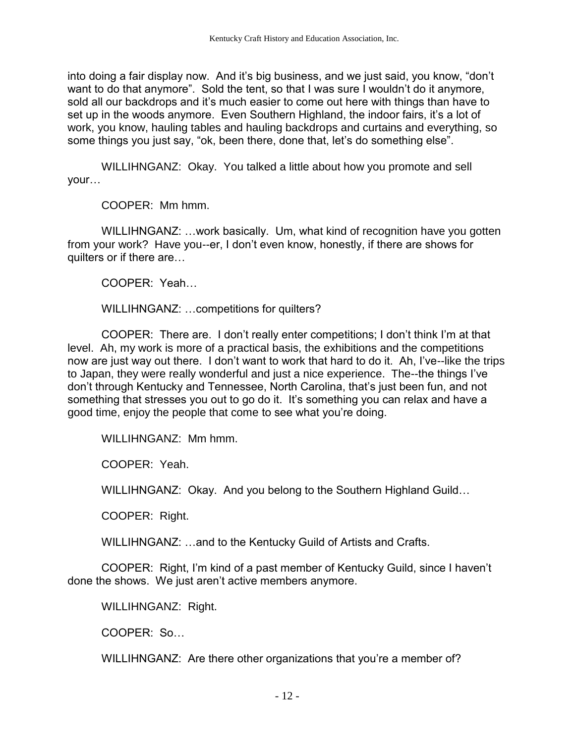into doing a fair display now. And it's big business, and we just said, you know, "don't want to do that anymore". Sold the tent, so that I was sure I wouldn't do it anymore, sold all our backdrops and it's much easier to come out here with things than have to set up in the woods anymore. Even Southern Highland, the indoor fairs, it's a lot of work, you know, hauling tables and hauling backdrops and curtains and everything, so some things you just say, "ok, been there, done that, let's do something else".

WILLIHNGANZ: Okay. You talked a little about how you promote and sell your…

COOPER: Mm hmm.

WILLIHNGANZ: ... work basically. Um, what kind of recognition have you gotten from your work? Have you--er, I don't even know, honestly, if there are shows for quilters or if there are…

COOPER: Yeah…

WILLIHNGANZ: …competitions for quilters?

COOPER: There are. I don't really enter competitions; I don't think I'm at that level. Ah, my work is more of a practical basis, the exhibitions and the competitions now are just way out there. I don't want to work that hard to do it. Ah, I've--like the trips to Japan, they were really wonderful and just a nice experience. The--the things I've don't through Kentucky and Tennessee, North Carolina, that's just been fun, and not something that stresses you out to go do it. It's something you can relax and have a good time, enjoy the people that come to see what you're doing.

WILLIHNGANZ: Mm hmm.

COOPER: Yeah.

WILLIHNGANZ: Okay. And you belong to the Southern Highland Guild…

COOPER: Right.

WILLIHNGANZ: …and to the Kentucky Guild of Artists and Crafts.

COOPER: Right, I'm kind of a past member of Kentucky Guild, since I haven't done the shows. We just aren't active members anymore.

WILLIHNGANZ: Right.

COOPER: So…

WILLIHNGANZ: Are there other organizations that you're a member of?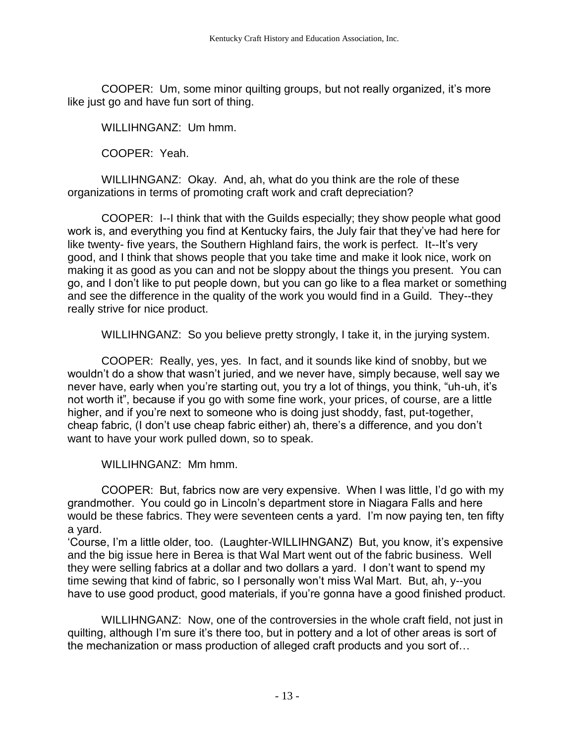COOPER: Um, some minor quilting groups, but not really organized, it's more like just go and have fun sort of thing.

WILLIHNGANZ: Um hmm.

COOPER: Yeah.

WILLIHNGANZ: Okay. And, ah, what do you think are the role of these organizations in terms of promoting craft work and craft depreciation?

COOPER: I--I think that with the Guilds especially; they show people what good work is, and everything you find at Kentucky fairs, the July fair that they've had here for like twenty- five years, the Southern Highland fairs, the work is perfect. It--It's very good, and I think that shows people that you take time and make it look nice, work on making it as good as you can and not be sloppy about the things you present. You can go, and I don't like to put people down, but you can go like to a flea market or something and see the difference in the quality of the work you would find in a Guild. They--they really strive for nice product.

WILLIHNGANZ: So you believe pretty strongly, I take it, in the jurying system.

COOPER: Really, yes, yes. In fact, and it sounds like kind of snobby, but we wouldn't do a show that wasn't juried, and we never have, simply because, well say we never have, early when you're starting out, you try a lot of things, you think, "uh-uh, it's not worth it", because if you go with some fine work, your prices, of course, are a little higher, and if you're next to someone who is doing just shoddy, fast, put-together, cheap fabric, (I don't use cheap fabric either) ah, there's a difference, and you don't want to have your work pulled down, so to speak.

WILLIHNGANZ: Mm hmm.

COOPER: But, fabrics now are very expensive. When I was little, I'd go with my grandmother. You could go in Lincoln's department store in Niagara Falls and here would be these fabrics. They were seventeen cents a yard. I'm now paying ten, ten fifty a yard.

'Course, I'm a little older, too. (Laughter-WILLIHNGANZ) But, you know, it's expensive and the big issue here in Berea is that Wal Mart went out of the fabric business. Well they were selling fabrics at a dollar and two dollars a yard. I don't want to spend my time sewing that kind of fabric, so I personally won't miss Wal Mart. But, ah, y--you have to use good product, good materials, if you're gonna have a good finished product.

WILLIHNGANZ: Now, one of the controversies in the whole craft field, not just in quilting, although I'm sure it's there too, but in pottery and a lot of other areas is sort of the mechanization or mass production of alleged craft products and you sort of…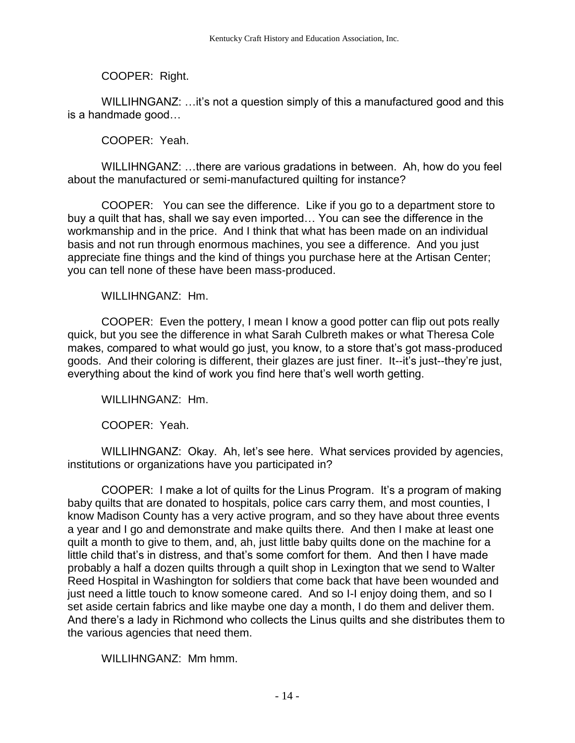COOPER: Right.

WILLIHNGANZ: ... it's not a question simply of this a manufactured good and this is a handmade good…

COOPER: Yeah.

WILLIHNGANZ: …there are various gradations in between. Ah, how do you feel about the manufactured or semi-manufactured quilting for instance?

COOPER: You can see the difference. Like if you go to a department store to buy a quilt that has, shall we say even imported… You can see the difference in the workmanship and in the price. And I think that what has been made on an individual basis and not run through enormous machines, you see a difference. And you just appreciate fine things and the kind of things you purchase here at the Artisan Center; you can tell none of these have been mass-produced.

WILLIHNGANZ: Hm.

COOPER: Even the pottery, I mean I know a good potter can flip out pots really quick, but you see the difference in what Sarah Culbreth makes or what Theresa Cole makes, compared to what would go just, you know, to a store that's got mass-produced goods. And their coloring is different, their glazes are just finer. It--it's just--they're just, everything about the kind of work you find here that's well worth getting.

WILLIHNGANZ: Hm.

COOPER: Yeah.

WILLIHNGANZ: Okay. Ah, let's see here. What services provided by agencies, institutions or organizations have you participated in?

COOPER: I make a lot of quilts for the Linus Program. It's a program of making baby quilts that are donated to hospitals, police cars carry them, and most counties, I know Madison County has a very active program, and so they have about three events a year and I go and demonstrate and make quilts there. And then I make at least one quilt a month to give to them, and, ah, just little baby quilts done on the machine for a little child that's in distress, and that's some comfort for them. And then I have made probably a half a dozen quilts through a quilt shop in Lexington that we send to Walter Reed Hospital in Washington for soldiers that come back that have been wounded and just need a little touch to know someone cared. And so I-I enjoy doing them, and so I set aside certain fabrics and like maybe one day a month, I do them and deliver them. And there's a lady in Richmond who collects the Linus quilts and she distributes them to the various agencies that need them.

WILLIHNGANZ: Mm hmm.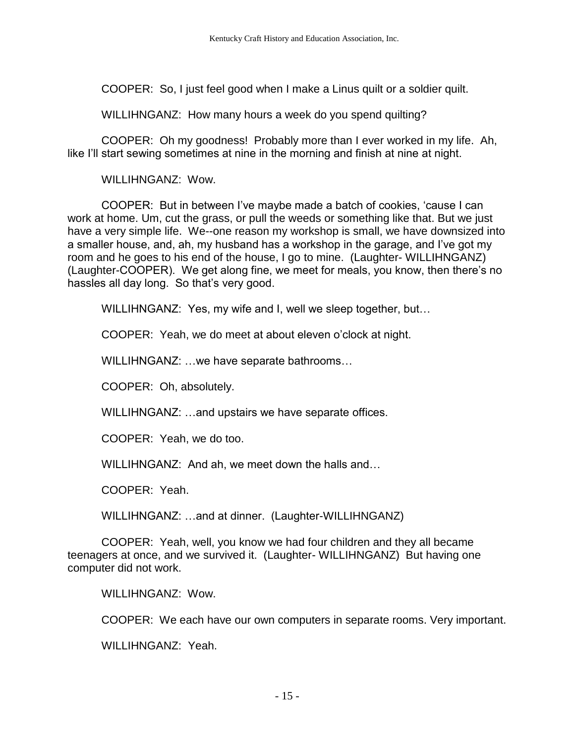COOPER: So, I just feel good when I make a Linus quilt or a soldier quilt.

WILLIHNGANZ: How many hours a week do you spend quilting?

COOPER: Oh my goodness! Probably more than I ever worked in my life. Ah, like I'll start sewing sometimes at nine in the morning and finish at nine at night.

WILLIHNGANZ: Wow.

COOPER: But in between I've maybe made a batch of cookies, 'cause I can work at home. Um, cut the grass, or pull the weeds or something like that. But we just have a very simple life. We--one reason my workshop is small, we have downsized into a smaller house, and, ah, my husband has a workshop in the garage, and I've got my room and he goes to his end of the house, I go to mine. (Laughter- WILLIHNGANZ) (Laughter-COOPER). We get along fine, we meet for meals, you know, then there's no hassles all day long. So that's very good.

WILLIHNGANZ: Yes, my wife and I, well we sleep together, but...

COOPER: Yeah, we do meet at about eleven o'clock at night.

WILLIHNGANZ: …we have separate bathrooms…

COOPER: Oh, absolutely.

WILLIHNGANZ: …and upstairs we have separate offices.

COOPER: Yeah, we do too.

WILLIHNGANZ: And ah, we meet down the halls and…

COOPER: Yeah.

WILLIHNGANZ: …and at dinner. (Laughter-WILLIHNGANZ)

COOPER: Yeah, well, you know we had four children and they all became teenagers at once, and we survived it. (Laughter- WILLIHNGANZ) But having one computer did not work.

WILLIHNGANZ: Wow.

COOPER: We each have our own computers in separate rooms. Very important.

WILLIHNGANZ: Yeah.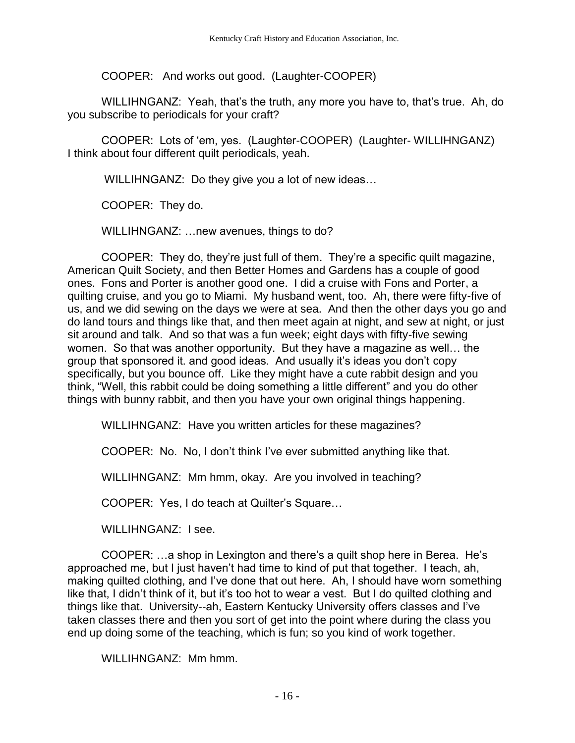COOPER: And works out good. (Laughter-COOPER)

WILLIHNGANZ: Yeah, that's the truth, any more you have to, that's true. Ah, do you subscribe to periodicals for your craft?

COOPER: Lots of 'em, yes. (Laughter-COOPER) (Laughter- WILLIHNGANZ) I think about four different quilt periodicals, yeah.

WILLIHNGANZ: Do they give you a lot of new ideas…

COOPER: They do.

WILLIHNGANZ: …new avenues, things to do?

COOPER: They do, they're just full of them. They're a specific quilt magazine, American Quilt Society, and then Better Homes and Gardens has a couple of good ones. Fons and Porter is another good one. I did a cruise with Fons and Porter, a quilting cruise, and you go to Miami. My husband went, too. Ah, there were fifty-five of us, and we did sewing on the days we were at sea. And then the other days you go and do land tours and things like that, and then meet again at night, and sew at night, or just sit around and talk. And so that was a fun week; eight days with fifty-five sewing women. So that was another opportunity. But they have a magazine as well… the group that sponsored it. and good ideas. And usually it's ideas you don't copy specifically, but you bounce off. Like they might have a cute rabbit design and you think, "Well, this rabbit could be doing something a little different" and you do other things with bunny rabbit, and then you have your own original things happening.

WILLIHNGANZ: Have you written articles for these magazines?

COOPER: No. No, I don't think I've ever submitted anything like that.

WILLIHNGANZ: Mm hmm, okay. Are you involved in teaching?

COOPER: Yes, I do teach at Quilter's Square…

WILLIHNGANZ: I see.

COOPER: …a shop in Lexington and there's a quilt shop here in Berea. He's approached me, but I just haven't had time to kind of put that together. I teach, ah, making quilted clothing, and I've done that out here. Ah, I should have worn something like that, I didn't think of it, but it's too hot to wear a vest. But I do quilted clothing and things like that. University--ah, Eastern Kentucky University offers classes and I've taken classes there and then you sort of get into the point where during the class you end up doing some of the teaching, which is fun; so you kind of work together.

WILLIHNGANZ: Mm hmm.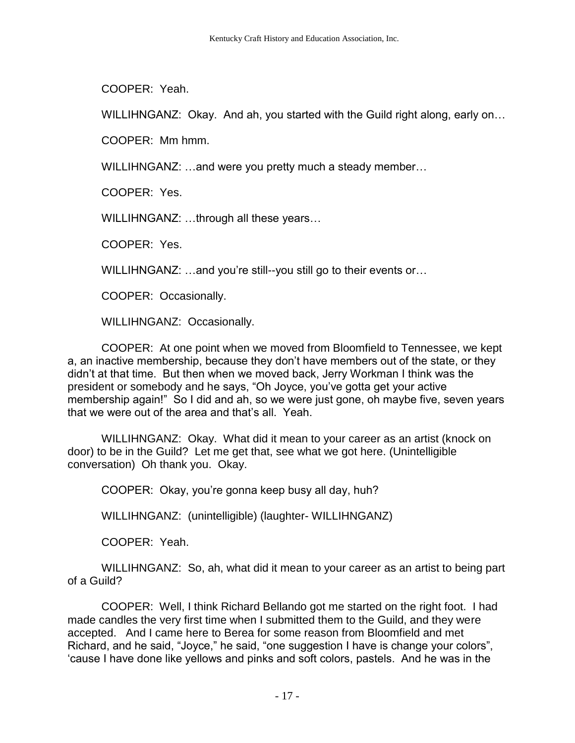COOPER: Yeah.

WILLIHNGANZ: Okay. And ah, you started with the Guild right along, early on...

COOPER: Mm hmm.

WILLIHNGANZ: …and were you pretty much a steady member…

COOPER: Yes.

WILLIHNGANZ: …through all these years…

COOPER: Yes.

WILLIHNGANZ: …and you're still--you still go to their events or…

COOPER: Occasionally.

WILLIHNGANZ: Occasionally.

COOPER: At one point when we moved from Bloomfield to Tennessee, we kept a, an inactive membership, because they don't have members out of the state, or they didn't at that time. But then when we moved back, Jerry Workman I think was the president or somebody and he says, "Oh Joyce, you've gotta get your active membership again!" So I did and ah, so we were just gone, oh maybe five, seven years that we were out of the area and that's all. Yeah.

WILLIHNGANZ: Okay. What did it mean to your career as an artist (knock on door) to be in the Guild? Let me get that, see what we got here. (Unintelligible conversation) Oh thank you. Okay.

COOPER: Okay, you're gonna keep busy all day, huh?

WILLIHNGANZ: (unintelligible) (laughter- WILLIHNGANZ)

COOPER: Yeah.

WILLIHNGANZ: So, ah, what did it mean to your career as an artist to being part of a Guild?

COOPER: Well, I think Richard Bellando got me started on the right foot. I had made candles the very first time when I submitted them to the Guild, and they were accepted. And I came here to Berea for some reason from Bloomfield and met Richard, and he said, "Joyce," he said, "one suggestion I have is change your colors", 'cause I have done like yellows and pinks and soft colors, pastels. And he was in the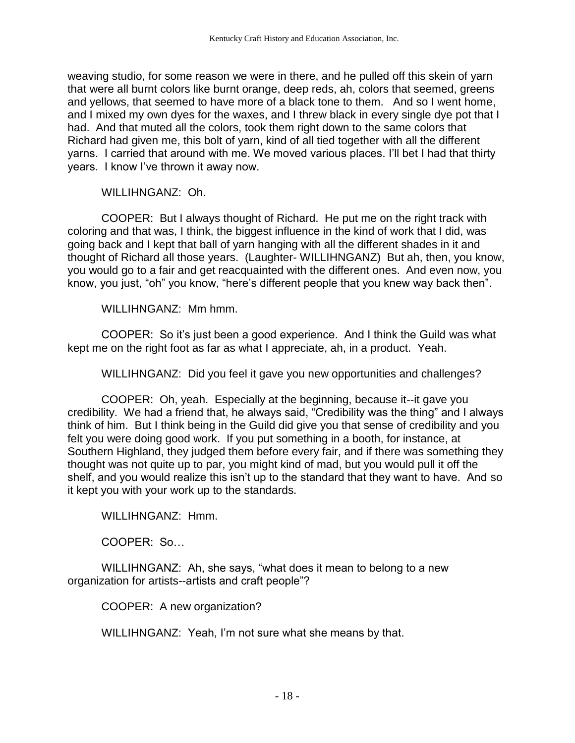weaving studio, for some reason we were in there, and he pulled off this skein of yarn that were all burnt colors like burnt orange, deep reds, ah, colors that seemed, greens and yellows, that seemed to have more of a black tone to them. And so I went home, and I mixed my own dyes for the waxes, and I threw black in every single dye pot that I had. And that muted all the colors, took them right down to the same colors that Richard had given me, this bolt of yarn, kind of all tied together with all the different yarns. I carried that around with me. We moved various places. I'll bet I had that thirty years. I know I've thrown it away now.

WILLIHNGANZ: Oh.

COOPER: But I always thought of Richard. He put me on the right track with coloring and that was, I think, the biggest influence in the kind of work that I did, was going back and I kept that ball of yarn hanging with all the different shades in it and thought of Richard all those years. (Laughter- WILLIHNGANZ) But ah, then, you know, you would go to a fair and get reacquainted with the different ones. And even now, you know, you just, "oh" you know, "here's different people that you knew way back then".

WILLIHNGANZ: Mm hmm.

COOPER: So it's just been a good experience. And I think the Guild was what kept me on the right foot as far as what I appreciate, ah, in a product. Yeah.

WILLIHNGANZ: Did you feel it gave you new opportunities and challenges?

COOPER: Oh, yeah. Especially at the beginning, because it--it gave you credibility. We had a friend that, he always said, "Credibility was the thing" and I always think of him. But I think being in the Guild did give you that sense of credibility and you felt you were doing good work. If you put something in a booth, for instance, at Southern Highland, they judged them before every fair, and if there was something they thought was not quite up to par, you might kind of mad, but you would pull it off the shelf, and you would realize this isn't up to the standard that they want to have. And so it kept you with your work up to the standards.

WILLIHNGANZ: Hmm.

COOPER: So…

WILLIHNGANZ: Ah, she says, "what does it mean to belong to a new organization for artists--artists and craft people"?

COOPER: A new organization?

WILLIHNGANZ: Yeah, I'm not sure what she means by that.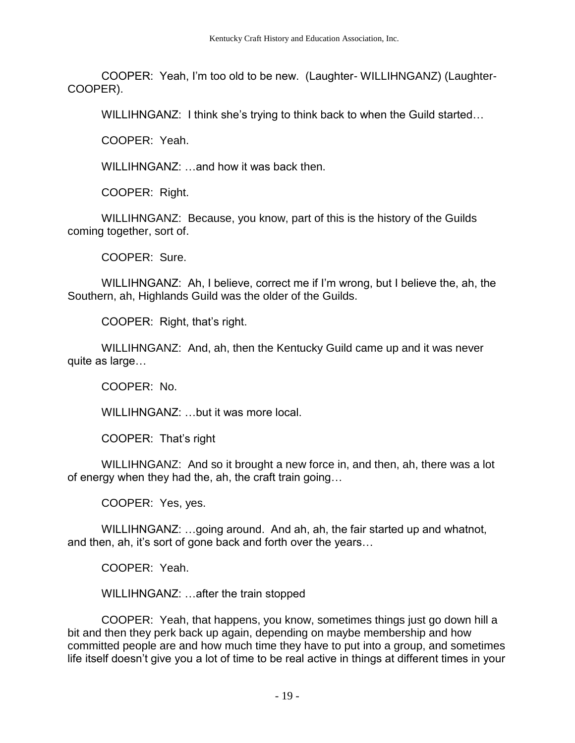COOPER: Yeah, I'm too old to be new. (Laughter- WILLIHNGANZ) (Laughter-COOPER).

WILLIHNGANZ: I think she's trying to think back to when the Guild started…

COOPER: Yeah.

WILLIHNGANZ: …and how it was back then.

COOPER: Right.

WILLIHNGANZ: Because, you know, part of this is the history of the Guilds coming together, sort of.

COOPER: Sure.

WILLIHNGANZ: Ah, I believe, correct me if I'm wrong, but I believe the, ah, the Southern, ah, Highlands Guild was the older of the Guilds.

COOPER: Right, that's right.

WILLIHNGANZ: And, ah, then the Kentucky Guild came up and it was never quite as large…

COOPER: No.

WILLIHNGANZ: …but it was more local.

COOPER: That's right

WILLIHNGANZ: And so it brought a new force in, and then, ah, there was a lot of energy when they had the, ah, the craft train going…

COOPER: Yes, yes.

WILLIHNGANZ: …going around. And ah, ah, the fair started up and whatnot, and then, ah, it's sort of gone back and forth over the years…

COOPER: Yeah.

WILLIHNGANZ: …after the train stopped

COOPER: Yeah, that happens, you know, sometimes things just go down hill a bit and then they perk back up again, depending on maybe membership and how committed people are and how much time they have to put into a group, and sometimes life itself doesn't give you a lot of time to be real active in things at different times in your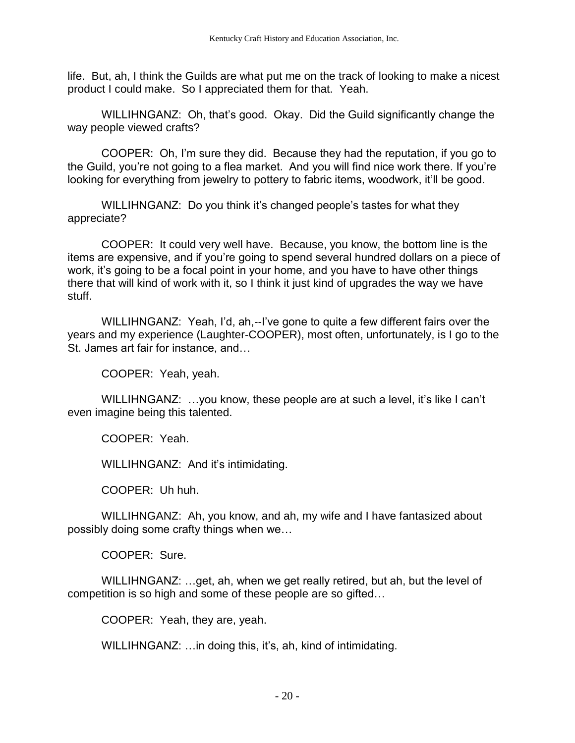life. But, ah, I think the Guilds are what put me on the track of looking to make a nicest product I could make. So I appreciated them for that. Yeah.

WILLIHNGANZ: Oh, that's good. Okay. Did the Guild significantly change the way people viewed crafts?

COOPER: Oh, I'm sure they did. Because they had the reputation, if you go to the Guild, you're not going to a flea market. And you will find nice work there. If you're looking for everything from jewelry to pottery to fabric items, woodwork, it'll be good.

WILLIHNGANZ: Do you think it's changed people's tastes for what they appreciate?

COOPER: It could very well have. Because, you know, the bottom line is the items are expensive, and if you're going to spend several hundred dollars on a piece of work, it's going to be a focal point in your home, and you have to have other things there that will kind of work with it, so I think it just kind of upgrades the way we have stuff.

WILLIHNGANZ: Yeah, I'd, ah,--I've gone to quite a few different fairs over the years and my experience (Laughter-COOPER), most often, unfortunately, is I go to the St. James art fair for instance, and…

COOPER: Yeah, yeah.

WILLIHNGANZ: ...you know, these people are at such a level, it's like I can't even imagine being this talented.

COOPER: Yeah.

WILLIHNGANZ: And it's intimidating.

COOPER: Uh huh.

WILLIHNGANZ: Ah, you know, and ah, my wife and I have fantasized about possibly doing some crafty things when we…

COOPER: Sure.

WILLIHNGANZ: …get, ah, when we get really retired, but ah, but the level of competition is so high and some of these people are so gifted…

COOPER: Yeah, they are, yeah.

WILLIHNGANZ: …in doing this, it's, ah, kind of intimidating.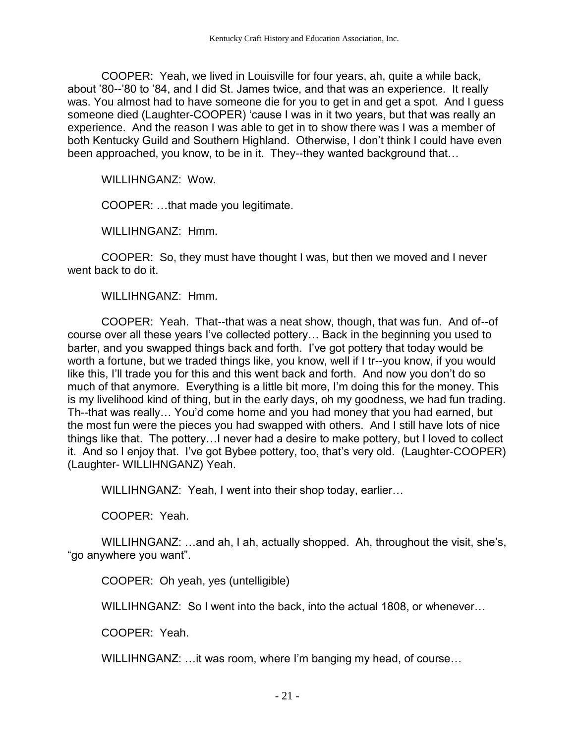COOPER: Yeah, we lived in Louisville for four years, ah, quite a while back, about '80--'80 to '84, and I did St. James twice, and that was an experience. It really was. You almost had to have someone die for you to get in and get a spot. And I guess someone died (Laughter-COOPER) 'cause I was in it two years, but that was really an experience. And the reason I was able to get in to show there was I was a member of both Kentucky Guild and Southern Highland. Otherwise, I don't think I could have even been approached, you know, to be in it. They--they wanted background that…

WILLIHNGANZ: Wow.

COOPER: …that made you legitimate.

WILLIHNGANZ: Hmm.

COOPER: So, they must have thought I was, but then we moved and I never went back to do it.

WILLIHNGANZ: Hmm.

COOPER: Yeah. That--that was a neat show, though, that was fun. And of--of course over all these years I've collected pottery… Back in the beginning you used to barter, and you swapped things back and forth. I've got pottery that today would be worth a fortune, but we traded things like, you know, well if I tr--you know, if you would like this, I'll trade you for this and this went back and forth. And now you don't do so much of that anymore. Everything is a little bit more, I'm doing this for the money. This is my livelihood kind of thing, but in the early days, oh my goodness, we had fun trading. Th--that was really… You'd come home and you had money that you had earned, but the most fun were the pieces you had swapped with others. And I still have lots of nice things like that. The pottery…I never had a desire to make pottery, but I loved to collect it. And so I enjoy that. I've got Bybee pottery, too, that's very old. (Laughter-COOPER) (Laughter- WILLIHNGANZ) Yeah.

WILLIHNGANZ: Yeah, I went into their shop today, earlier…

COOPER: Yeah.

WILLIHNGANZ: …and ah, I ah, actually shopped. Ah, throughout the visit, she's, "go anywhere you want".

COOPER: Oh yeah, yes (untelligible)

WILLIHNGANZ: So I went into the back, into the actual 1808, or whenever…

COOPER: Yeah.

WILLIHNGANZ: …it was room, where I'm banging my head, of course…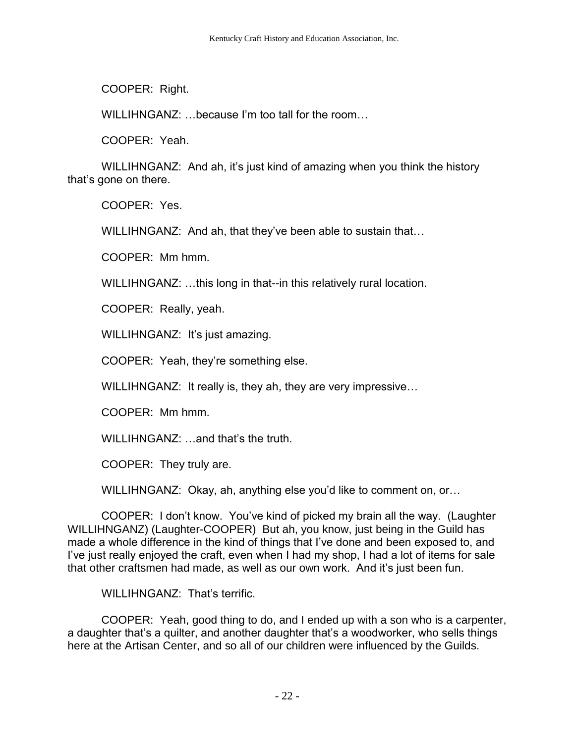COOPER: Right.

WILLIHNGANZ: …because I'm too tall for the room…

COOPER: Yeah.

WILLIHNGANZ: And ah, it's just kind of amazing when you think the history that's gone on there.

COOPER: Yes.

WILLIHNGANZ: And ah, that they've been able to sustain that…

COOPER: Mm hmm.

WILLIHNGANZ: …this long in that--in this relatively rural location.

COOPER: Really, yeah.

WILLIHNGANZ: It's just amazing.

COOPER: Yeah, they're something else.

WILLIHNGANZ: It really is, they ah, they are very impressive...

COOPER: Mm hmm.

WILLIHNGANZ: …and that's the truth.

COOPER: They truly are.

WILLIHNGANZ: Okay, ah, anything else you'd like to comment on, or…

COOPER: I don't know. You've kind of picked my brain all the way. (Laughter WILLIHNGANZ) (Laughter-COOPER) But ah, you know, just being in the Guild has made a whole difference in the kind of things that I've done and been exposed to, and I've just really enjoyed the craft, even when I had my shop, I had a lot of items for sale that other craftsmen had made, as well as our own work. And it's just been fun.

WILLIHNGANZ: That's terrific.

COOPER: Yeah, good thing to do, and I ended up with a son who is a carpenter, a daughter that's a quilter, and another daughter that's a woodworker, who sells things here at the Artisan Center, and so all of our children were influenced by the Guilds.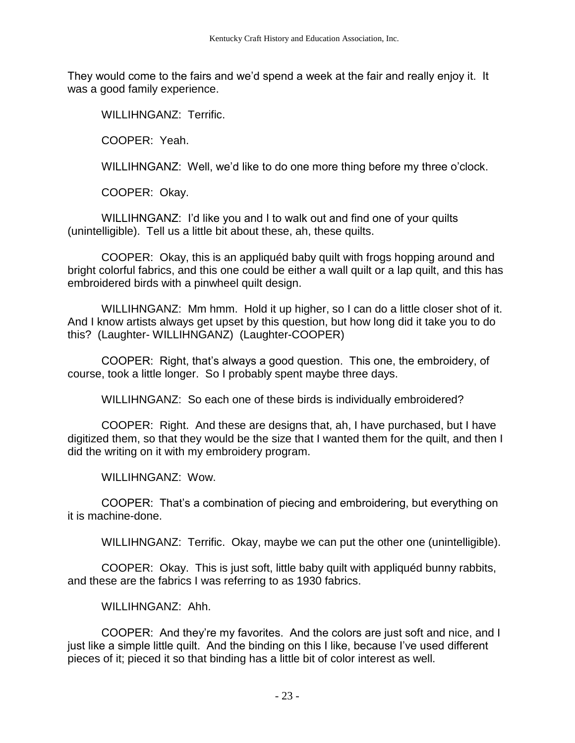They would come to the fairs and we'd spend a week at the fair and really enjoy it. It was a good family experience.

WILLIHNGANZ: Terrific.

COOPER: Yeah.

WILLIHNGANZ: Well, we'd like to do one more thing before my three o'clock.

COOPER: Okay.

WILLIHNGANZ: I'd like you and I to walk out and find one of your quilts (unintelligible). Tell us a little bit about these, ah, these quilts.

COOPER: Okay, this is an appliquéd baby quilt with frogs hopping around and bright colorful fabrics, and this one could be either a wall quilt or a lap quilt, and this has embroidered birds with a pinwheel quilt design.

WILLIHNGANZ: Mm hmm. Hold it up higher, so I can do a little closer shot of it. And I know artists always get upset by this question, but how long did it take you to do this? (Laughter- WILLIHNGANZ) (Laughter-COOPER)

COOPER: Right, that's always a good question. This one, the embroidery, of course, took a little longer. So I probably spent maybe three days.

WILLIHNGANZ: So each one of these birds is individually embroidered?

COOPER: Right. And these are designs that, ah, I have purchased, but I have digitized them, so that they would be the size that I wanted them for the quilt, and then I did the writing on it with my embroidery program.

WILLIHNGANZ: Wow.

COOPER: That's a combination of piecing and embroidering, but everything on it is machine-done.

WILLIHNGANZ: Terrific. Okay, maybe we can put the other one (unintelligible).

COOPER: Okay. This is just soft, little baby quilt with appliquéd bunny rabbits, and these are the fabrics I was referring to as 1930 fabrics.

WILLIHNGANZ: Ahh.

COOPER: And they're my favorites. And the colors are just soft and nice, and I just like a simple little quilt. And the binding on this I like, because I've used different pieces of it; pieced it so that binding has a little bit of color interest as well.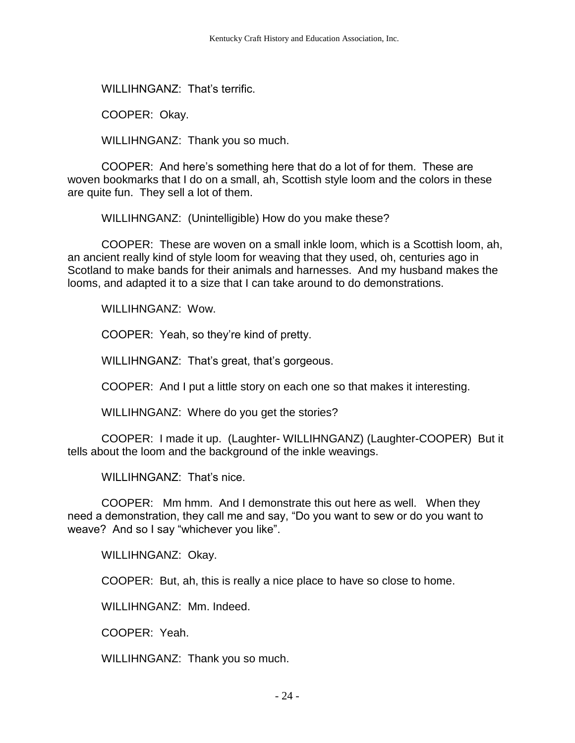WILLIHNGANZ: That's terrific.

COOPER: Okay.

WILLIHNGANZ: Thank you so much.

COOPER: And here's something here that do a lot of for them. These are woven bookmarks that I do on a small, ah, Scottish style loom and the colors in these are quite fun. They sell a lot of them.

WILLIHNGANZ: (Unintelligible) How do you make these?

COOPER: These are woven on a small inkle loom, which is a Scottish loom, ah, an ancient really kind of style loom for weaving that they used, oh, centuries ago in Scotland to make bands for their animals and harnesses. And my husband makes the looms, and adapted it to a size that I can take around to do demonstrations.

WILLIHNGANZ: Wow.

COOPER: Yeah, so they're kind of pretty.

WILLIHNGANZ: That's great, that's gorgeous.

COOPER: And I put a little story on each one so that makes it interesting.

WILLIHNGANZ: Where do you get the stories?

COOPER: I made it up. (Laughter- WILLIHNGANZ) (Laughter-COOPER) But it tells about the loom and the background of the inkle weavings.

WILLIHNGANZ: That's nice.

COOPER: Mm hmm. And I demonstrate this out here as well. When they need a demonstration, they call me and say, "Do you want to sew or do you want to weave? And so I say "whichever you like".

WILLIHNGANZ: Okay.

COOPER: But, ah, this is really a nice place to have so close to home.

WILLIHNGANZ: Mm. Indeed.

COOPER: Yeah.

WILLIHNGANZ: Thank you so much.